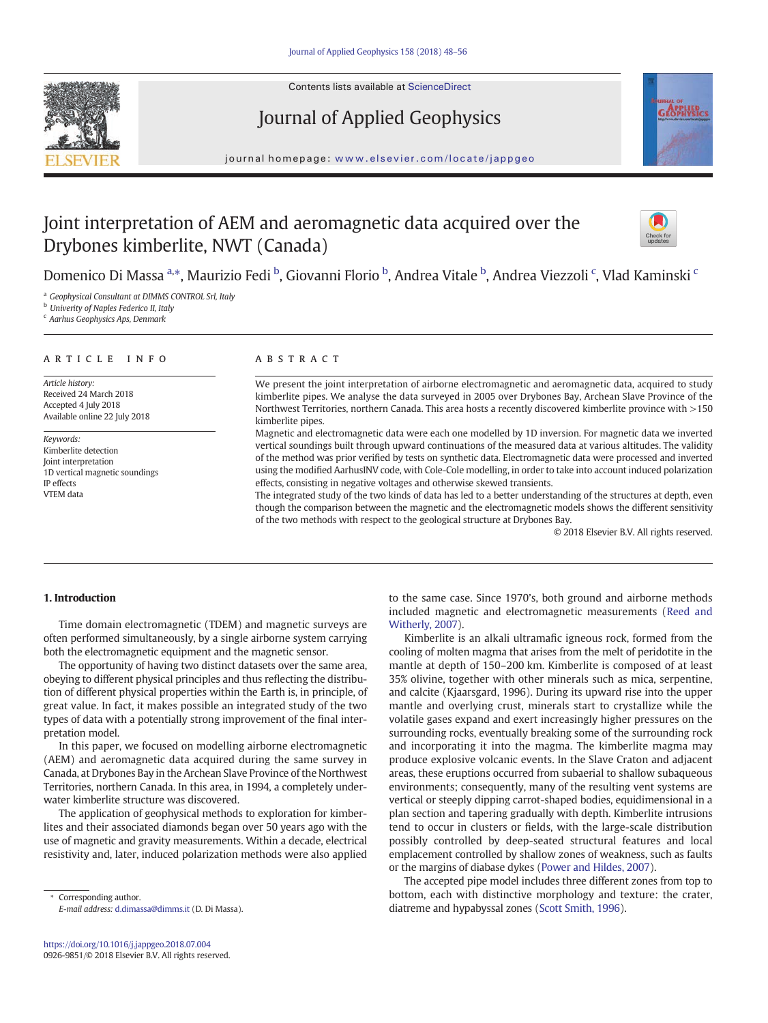

Contents lists available at ScienceDirect

# Journal of Applied Geophysics



journal homepage: <www.elsevier.com/locate/jappgeo>

# Joint interpretation of AEM and aeromagnetic data acquired over the Drybones kimberlite, NWT (Canada)



Domenico Di Massa <sup>a,»</sup>, Maurizio Fedi <sup>b</sup>, Giovanni Florio <sup>b</sup>, Andrea Vitale <sup>b</sup>, Andrea Viezzoli <sup>c</sup>, Vlad Kaminski <sup>c</sup>

<sup>a</sup> Geophysical Consultant at DIMMS CONTROL Srl, Italy

**b** Univerity of Naples Federico II, Italy

c Aarhus Geophysics Aps, Denmark

#### article info abstract

Article history: Received 24 March 2018 Accepted 4 July 2018 Available online 22 July 2018

Keywords: Kimberlite detection Joint interpretation 1D vertical magnetic soundings IP effects VTEM data

We present the joint interpretation of airborne electromagnetic and aeromagnetic data, acquired to study kimberlite pipes. We analyse the data surveyed in 2005 over Drybones Bay, Archean Slave Province of the Northwest Territories, northern Canada. This area hosts a recently discovered kimberlite province with >150 kimberlite pipes.

Magnetic and electromagnetic data were each one modelled by 1D inversion. For magnetic data we inverted vertical soundings built through upward continuations of the measured data at various altitudes. The validity of the method was prior verified by tests on synthetic data. Electromagnetic data were processed and inverted using the modified AarhusINV code, with Cole-Cole modelling, in order to take into account induced polarization effects, consisting in negative voltages and otherwise skewed transients.

The integrated study of the two kinds of data has led to a better understanding of the structures at depth, even though the comparison between the magnetic and the electromagnetic models shows the different sensitivity of the two methods with respect to the geological structure at Drybones Bay.

© 2018 Elsevier B.V. All rights reserved.

## 1. Introduction

Time domain electromagnetic (TDEM) and magnetic surveys are often performed simultaneously, by a single airborne system carrying both the electromagnetic equipment and the magnetic sensor.

The opportunity of having two distinct datasets over the same area, obeying to different physical principles and thus reflecting the distribution of different physical properties within the Earth is, in principle, of great value. In fact, it makes possible an integrated study of the two types of data with a potentially strong improvement of the final interpretation model.

In this paper, we focused on modelling airborne electromagnetic (AEM) and aeromagnetic data acquired during the same survey in Canada, at Drybones Bay in the Archean Slave Province of the Northwest Territories, northern Canada. In this area, in 1994, a completely underwater kimberlite structure was discovered.

The application of geophysical methods to exploration for kimberlites and their associated diamonds began over 50 years ago with the use of magnetic and gravity measurements. Within a decade, electrical resistivity and, later, induced polarization methods were also applied

Corresponding author. E-mail address: <d.dimassa@dimms.it> (D. Di Massa). to the same case. Since 1970's, both ground and airborne methods included magnetic and electromagnetic measurements [\(Reed and](#page-8-0) [Witherly, 2007\)](#page-8-0).

Kimberlite is an alkali ultramafic igneous rock, formed from the cooling of molten magma that arises from the melt of peridotite in the mantle at depth of 150–200 km. Kimberlite is composed of at least 35% olivine, together with other minerals such as mica, serpentine, and calcite (Kjaarsgard, 1996). During its upward rise into the upper mantle and overlying crust, minerals start to crystallize while the volatile gases expand and exert increasingly higher pressures on the surrounding rocks, eventually breaking some of the surrounding rock and incorporating it into the magma. The kimberlite magma may produce explosive volcanic events. In the Slave Craton and adjacent areas, these eruptions occurred from subaerial to shallow subaqueous environments; consequently, many of the resulting vent systems are vertical or steeply dipping carrot-shaped bodies, equidimensional in a plan section and tapering gradually with depth. Kimberlite intrusions tend to occur in clusters or fields, with the large-scale distribution possibly controlled by deep-seated structural features and local emplacement controlled by shallow zones of weakness, such as faults or the margins of diabase dykes [\(Power and Hildes, 2007](#page-8-0)).

The accepted pipe model includes three different zones from top to bottom, each with distinctive morphology and texture: the crater, diatreme and hypabyssal zones [\(Scott Smith, 1996\)](#page-8-0).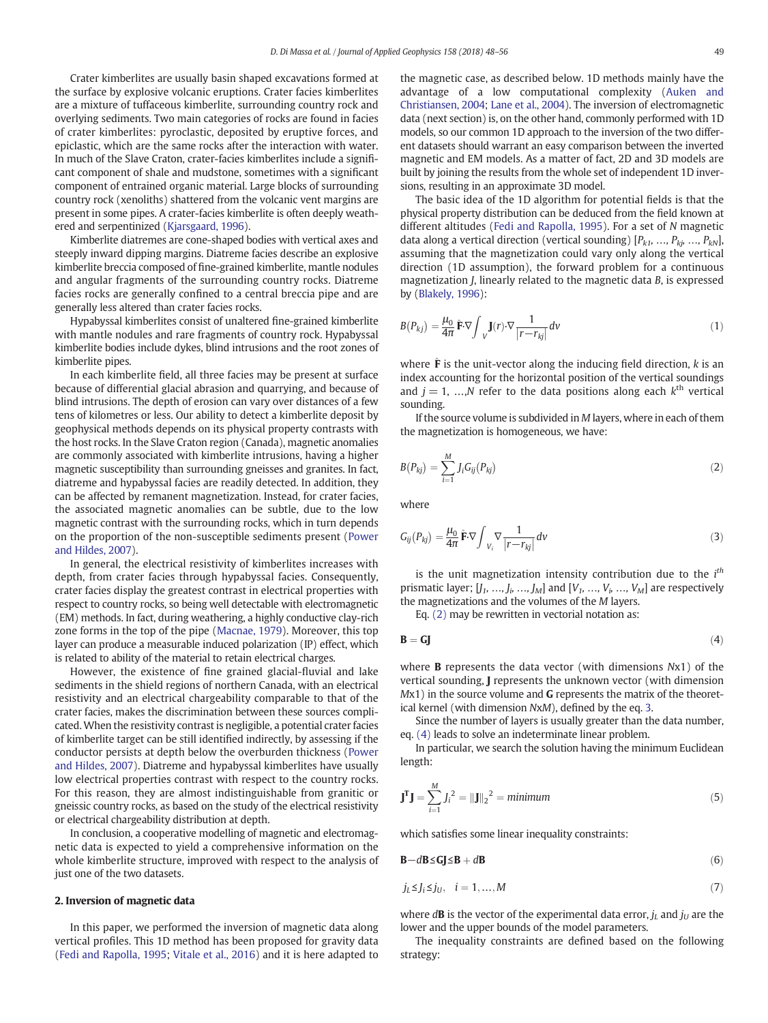Crater kimberlites are usually basin shaped excavations formed at the surface by explosive volcanic eruptions. Crater facies kimberlites are a mixture of tuffaceous kimberlite, surrounding country rock and overlying sediments. Two main categories of rocks are found in facies of crater kimberlites: pyroclastic, deposited by eruptive forces, and epiclastic, which are the same rocks after the interaction with water. In much of the Slave Craton, crater-facies kimberlites include a significant component of shale and mudstone, sometimes with a significant component of entrained organic material. Large blocks of surrounding country rock (xenoliths) shattered from the volcanic vent margins are present in some pipes. A crater-facies kimberlite is often deeply weathered and serpentinized ([Kjarsgaard, 1996](#page-8-0)).

Kimberlite diatremes are cone-shaped bodies with vertical axes and steeply inward dipping margins. Diatreme facies describe an explosive kimberlite breccia composed of fine-grained kimberlite, mantle nodules and angular fragments of the surrounding country rocks. Diatreme facies rocks are generally confined to a central breccia pipe and are generally less altered than crater facies rocks.

Hypabyssal kimberlites consist of unaltered fine-grained kimberlite with mantle nodules and rare fragments of country rock. Hypabyssal kimberlite bodies include dykes, blind intrusions and the root zones of kimberlite pipes.

In each kimberlite field, all three facies may be present at surface because of differential glacial abrasion and quarrying, and because of blind intrusions. The depth of erosion can vary over distances of a few tens of kilometres or less. Our ability to detect a kimberlite deposit by geophysical methods depends on its physical property contrasts with the host rocks. In the Slave Craton region (Canada), magnetic anomalies are commonly associated with kimberlite intrusions, having a higher magnetic susceptibility than surrounding gneisses and granites. In fact, diatreme and hypabyssal facies are readily detected. In addition, they can be affected by remanent magnetization. Instead, for crater facies, the associated magnetic anomalies can be subtle, due to the low magnetic contrast with the surrounding rocks, which in turn depends on the proportion of the non-susceptible sediments present [\(Power](#page-8-0) [and Hildes, 2007\)](#page-8-0).

In general, the electrical resistivity of kimberlites increases with depth, from crater facies through hypabyssal facies. Consequently, crater facies display the greatest contrast in electrical properties with respect to country rocks, so being well detectable with electromagnetic (EM) methods. In fact, during weathering, a highly conductive clay-rich zone forms in the top of the pipe [\(Macnae, 1979\)](#page-8-0). Moreover, this top layer can produce a measurable induced polarization (IP) effect, which is related to ability of the material to retain electrical charges.

However, the existence of fine grained glacial-fluvial and lake sediments in the shield regions of northern Canada, with an electrical resistivity and an electrical chargeability comparable to that of the crater facies, makes the discrimination between these sources complicated. When the resistivity contrast is negligible, a potential crater facies of kimberlite target can be still identified indirectly, by assessing if the conductor persists at depth below the overburden thickness [\(Power](#page-8-0) [and Hildes, 2007](#page-8-0)). Diatreme and hypabyssal kimberlites have usually low electrical properties contrast with respect to the country rocks. For this reason, they are almost indistinguishable from granitic or gneissic country rocks, as based on the study of the electrical resistivity or electrical chargeability distribution at depth.

In conclusion, a cooperative modelling of magnetic and electromagnetic data is expected to yield a comprehensive information on the whole kimberlite structure, improved with respect to the analysis of just one of the two datasets.

## 2. Inversion of magnetic data

In this paper, we performed the inversion of magnetic data along vertical profiles. This 1D method has been proposed for gravity data [\(Fedi and Rapolla, 1995](#page-8-0); [Vitale et al., 2016](#page-8-0)) and it is here adapted to the magnetic case, as described below. 1D methods mainly have the advantage of a low computational complexity ([Auken and](#page-7-0) [Christiansen, 2004](#page-7-0); [Lane et al., 2004](#page-8-0)). The inversion of electromagnetic data (next section) is, on the other hand, commonly performed with 1D models, so our common 1D approach to the inversion of the two different datasets should warrant an easy comparison between the inverted magnetic and EM models. As a matter of fact, 2D and 3D models are built by joining the results from the whole set of independent 1D inversions, resulting in an approximate 3D model.

The basic idea of the 1D algorithm for potential fields is that the physical property distribution can be deduced from the field known at different altitudes [\(Fedi and Rapolla, 1995\)](#page-8-0). For a set of N magnetic data along a vertical direction (vertical sounding)  $[P_{k1}, ..., P_{ki}, ..., P_{kN}]$ , assuming that the magnetization could vary only along the vertical direction (1D assumption), the forward problem for a continuous magnetization J, linearly related to the magnetic data B, is expressed by ([Blakely, 1996](#page-7-0)):

$$
B(P_{kj}) = \frac{\mu_0}{4\pi} \hat{\mathbf{F}} \cdot \nabla \int_{V} \mathbf{J}(r) \cdot \nabla \frac{1}{|r - r_{kj}|} dv
$$
 (1)

where  $\hat{\mathbf{F}}$  is the unit-vector along the inducing field direction, k is an index accounting for the horizontal position of the vertical soundings and  $j = 1, ..., N$  refer to the data positions along each  $k<sup>th</sup>$  vertical sounding.

If the source volume is subdivided in M layers, where in each of them the magnetization is homogeneous, we have:

$$
B(P_{kj}) = \sum_{i=1}^{M} J_i G_{ij}(P_{kj})
$$
\n(2)

where

$$
G_{ij}(P_{kj}) = \frac{\mu_0}{4\pi} \hat{\mathbf{F}} \cdot \nabla \int_{V_i} \nabla \frac{1}{|r - r_{kj}|} dv
$$
 (3)

is the unit magnetization intensity contribution due to the  $i<sup>th</sup>$ prismatic layer;  $[J_1, ..., J_i, ..., J_M]$  and  $[V_1, ..., V_i, ..., V_M]$  are respectively the magnetizations and the volumes of the M layers.

Eq. (2) may be rewritten in vectorial notation as:

$$
\mathbf{B} = \mathbf{G}\mathbf{J} \tag{4}
$$

where **B** represents the data vector (with dimensions Nx1) of the vertical sounding, J represents the unknown vector (with dimension  $Mx1$ ) in the source volume and **G** represents the matrix of the theoretical kernel (with dimension NxM), defined by the eq. 3.

Since the number of layers is usually greater than the data number, eq. (4) leads to solve an indeterminate linear problem.

In particular, we search the solution having the minimum Euclidean length:

$$
\mathbf{J}^{\mathbf{T}}\mathbf{J} = \sum_{i=1}^{M} J_i^2 = ||\mathbf{J}||_2^2 = \text{minimum} \tag{5}
$$

which satisfies some linear inequality constraints:

$$
\mathbf{B} - d\mathbf{B} \le \mathbf{G} \mathbf{J} \le \mathbf{B} + d\mathbf{B} \tag{6}
$$

$$
j_L \leq j_l \leq j_U, \quad i = 1, \dots, M \tag{7}
$$

where  $d\mathbf{B}$  is the vector of the experimental data error,  $j_L$  and  $j_U$  are the lower and the upper bounds of the model parameters.

The inequality constraints are defined based on the following strategy: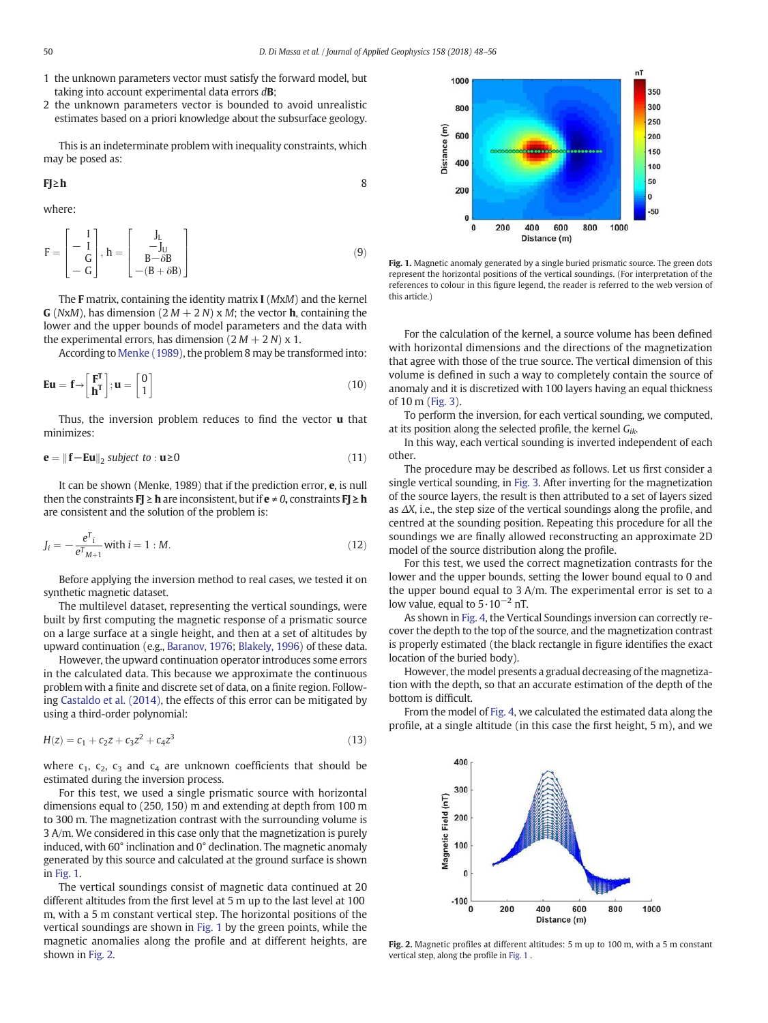- 1 the unknown parameters vector must satisfy the forward model, but taking into account experimental data errors  $d\mathbf{B}$ ;
- 2 the unknown parameters vector is bounded to avoid unrealistic estimates based on a priori knowledge about the subsurface geology.

This is an indeterminate problem with inequality constraints, which may be posed as:

$$
FJ \ge h
$$

where:

$$
F = \begin{bmatrix} 1 \\ -I \\ G \\ -G \end{bmatrix}, h = \begin{bmatrix} J_L \\ -J_U \\ B - \delta B \\ -(B + \delta B) \end{bmatrix}
$$
(9)

The F matrix, containing the identity matrix I (MxM) and the kernel **G** (NxM), has dimension (2 M + 2 N) x M; the vector **h**, containing the lower and the upper bounds of model parameters and the data with the experimental errors, has dimension  $(2 M + 2 N)$  x 1.

According to [Menke \(1989\)](#page-8-0), the problem 8 may be transformed into:

$$
\mathbf{E}\mathbf{u} = \mathbf{f} \rightarrow \begin{bmatrix} \mathbf{F}^{\mathrm{T}} \\ \mathbf{h}^{\mathrm{T}} \end{bmatrix}; \mathbf{u} = \begin{bmatrix} 0 \\ 1 \end{bmatrix}
$$
 (10)

Thus, the inversion problem reduces to find the vector  $\bf{u}$  that minimizes:

$$
\mathbf{e} = \|\mathbf{f} - \mathbf{E}\mathbf{u}\|_2 \text{ subject to : } \mathbf{u} \ge 0 \tag{11}
$$

It can be shown (Menke, 1989) that if the prediction error, e, is null then the constraints  $FJ \geq h$  are inconsistent, but if  $e \neq 0$ , constraints  $FJ \geq h$ are consistent and the solution of the problem is:

$$
J_i = -\frac{e^T i}{e^T m + 1} \text{ with } i = 1 : M. \tag{12}
$$

Before applying the inversion method to real cases, we tested it on synthetic magnetic dataset.

The multilevel dataset, representing the vertical soundings, were built by first computing the magnetic response of a prismatic source on a large surface at a single height, and then at a set of altitudes by upward continuation (e.g., [Baranov, 1976](#page-7-0); [Blakely, 1996](#page-7-0)) of these data.

However, the upward continuation operator introduces some errors in the calculated data. This because we approximate the continuous problem with a finite and discrete set of data, on a finite region. Following [Castaldo et al. \(2014\),](#page-8-0) the effects of this error can be mitigated by using a third-order polynomial:

$$
H(z) = c_1 + c_2 z + c_3 z^2 + c_4 z^3 \tag{13}
$$

where  $c_1$ ,  $c_2$ ,  $c_3$  and  $c_4$  are unknown coefficients that should be estimated during the inversion process.

For this test, we used a single prismatic source with horizontal dimensions equal to (250, 150) m and extending at depth from 100 m to 300 m. The magnetization contrast with the surrounding volume is 3 A/m. We considered in this case only that the magnetization is purely induced, with 60° inclination and 0° declination. The magnetic anomaly generated by this source and calculated at the ground surface is shown in Fig. 1.

The vertical soundings consist of magnetic data continued at 20 different altitudes from the first level at 5 m up to the last level at 100 m, with a 5 m constant vertical step. The horizontal positions of the vertical soundings are shown in Fig. 1 by the green points, while the magnetic anomalies along the profile and at different heights, are shown in Fig. 2.



Fig. 1. Magnetic anomaly generated by a single buried prismatic source. The green dots represent the horizontal positions of the vertical soundings. (For interpretation of the references to colour in this figure legend, the reader is referred to the web version of this article.)

For the calculation of the kernel, a source volume has been defined with horizontal dimensions and the directions of the magnetization that agree with those of the true source. The vertical dimension of this volume is defined in such a way to completely contain the source of anomaly and it is discretized with 100 layers having an equal thickness of 10 m [\(Fig. 3\)](#page-3-0).

To perform the inversion, for each vertical sounding, we computed, at its position along the selected profile, the kernel  $G_{ik}$ .

In this way, each vertical sounding is inverted independent of each other.

The procedure may be described as follows. Let us first consider a single vertical sounding, in [Fig. 3.](#page-3-0) After inverting for the magnetization of the source layers, the result is then attributed to a set of layers sized as  $\Delta X$ , i.e., the step size of the vertical soundings along the profile, and centred at the sounding position. Repeating this procedure for all the soundings we are finally allowed reconstructing an approximate 2D model of the source distribution along the profile.

For this test, we used the correct magnetization contrasts for the lower and the upper bounds, setting the lower bound equal to 0 and the upper bound equal to 3 A/m. The experimental error is set to a low value, equal to  $5 \cdot 10^{-2}$  nT.

As shown in [Fig. 4](#page-3-0), the Vertical Soundings inversion can correctly recover the depth to the top of the source, and the magnetization contrast is properly estimated (the black rectangle in figure identifies the exact location of the buried body).

However, the model presents a gradual decreasing of the magnetization with the depth, so that an accurate estimation of the depth of the bottom is difficult.

From the model of [Fig. 4,](#page-3-0) we calculated the estimated data along the profile, at a single altitude (in this case the first height, 5 m), and we



Fig. 2. Magnetic profiles at different altitudes: 5 m up to 100 m, with a 5 m constant vertical step, along the profile in Fig. 1 .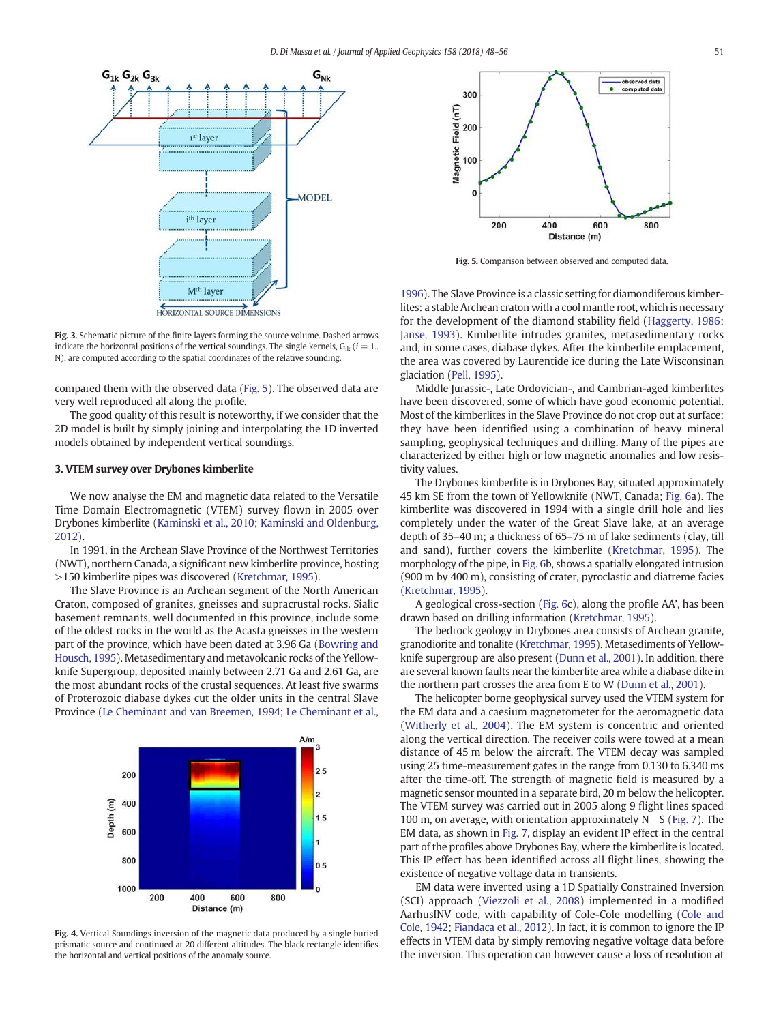<span id="page-3-0"></span>

Fig. 3. Schematic picture of the finite layers forming the source volume. Dashed arrows indicate the horizontal positions of the vertical soundings. The single kernels,  $G_{ik}$  ( $i = 1$ . N), are computed according to the spatial coordinates of the relative sounding.

compared them with the observed data (Fig. 5). The observed data are very well reproduced all along the profile.

The good quality of this result is noteworthy, if we consider that the 2D model is built by simply joining and interpolating the 1D inverted models obtained by independent vertical soundings.

## 3. VTEM survey over Drybones kimberlite

We now analyse the EM and magnetic data related to the Versatile Time Domain Electromagnetic (VTEM) survey flown in 2005 over Drybones kimberlite [\(Kaminski et al., 2010](#page-8-0); [Kaminski and Oldenburg,](#page-8-0) [2012](#page-8-0)).

In 1991, in the Archean Slave Province of the Northwest Territories (NWT), northern Canada, a significant new kimberlite province, hosting >150 kimberlite pipes was discovered [\(Kretchmar, 1995](#page-8-0)).

The Slave Province is an Archean segment of the North American Craton, composed of granites, gneisses and supracrustal rocks. Sialic basement remnants, well documented in this province, include some of the oldest rocks in the world as the Acasta gneisses in the western part of the province, which have been dated at 3.96 Ga [\(Bowring and](#page-8-0) [Housch, 1995](#page-8-0)). Metasedimentary and metavolcanic rocks of the Yellowknife Supergroup, deposited mainly between 2.71 Ga and 2.61 Ga, are the most abundant rocks of the crustal sequences. At least five swarms of Proterozoic diabase dykes cut the older units in the central Slave Province ([Le Cheminant and van Breemen, 1994](#page-8-0); [Le Cheminant et al.,](#page-8-0)



Fig. 4. Vertical Soundings inversion of the magnetic data produced by a single buried prismatic source and continued at 20 different altitudes. The black rectangle identifies the horizontal and vertical positions of the anomaly source.



Fig. 5. Comparison between observed and computed data.

[1996](#page-8-0)). The Slave Province is a classic setting for diamondiferous kimberlites: a stable Archean craton with a cool mantle root, which is necessary for the development of the diamond stability field [\(Haggerty, 1986;](#page-8-0) [Janse, 1993](#page-8-0)). Kimberlite intrudes granites, metasedimentary rocks and, in some cases, diabase dykes. After the kimberlite emplacement, the area was covered by Laurentide ice during the Late Wisconsinan glaciation [\(Pell, 1995\)](#page-8-0).

Middle Jurassic-, Late Ordovician-, and Cambrian-aged kimberlites have been discovered, some of which have good economic potential. Most of the kimberlites in the Slave Province do not crop out at surface; they have been identified using a combination of heavy mineral sampling, geophysical techniques and drilling. Many of the pipes are characterized by either high or low magnetic anomalies and low resistivity values.

The Drybones kimberlite is in Drybones Bay, situated approximately 45 km SE from the town of Yellowknife (NWT, Canada; [Fig. 6](#page-4-0)a). The kimberlite was discovered in 1994 with a single drill hole and lies completely under the water of the Great Slave lake, at an average depth of 35–40 m; a thickness of 65–75 m of lake sediments (clay, till and sand), further covers the kimberlite ([Kretchmar, 1995\)](#page-8-0). The morphology of the pipe, in [Fig. 6](#page-4-0)b, shows a spatially elongated intrusion (900 m by 400 m), consisting of crater, pyroclastic and diatreme facies [\(Kretchmar, 1995](#page-8-0)).

A geological cross-section [\(Fig. 6](#page-4-0)c), along the profile AA', has been drawn based on drilling information [\(Kretchmar, 1995](#page-8-0)).

The bedrock geology in Drybones area consists of Archean granite, granodiorite and tonalite [\(Kretchmar, 1995](#page-8-0)). Metasediments of Yellowknife supergroup are also present ([Dunn et al., 2001\)](#page-8-0). In addition, there are several known faults near the kimberlite area while a diabase dike in the northern part crosses the area from E to W ([Dunn et al., 2001](#page-8-0)).

The helicopter borne geophysical survey used the VTEM system for the EM data and a caesium magnetometer for the aeromagnetic data [\(Witherly et al., 2004\)](#page-8-0). The EM system is concentric and oriented along the vertical direction. The receiver coils were towed at a mean distance of 45 m below the aircraft. The VTEM decay was sampled using 25 time-measurement gates in the range from 0.130 to 6.340 ms after the time-off. The strength of magnetic field is measured by a magnetic sensor mounted in a separate bird, 20 m below the helicopter. The VTEM survey was carried out in 2005 along 9 flight lines spaced 100 m, on average, with orientation approximately  $N-S$  ([Fig. 7\)](#page-4-0). The EM data, as shown in [Fig. 7](#page-4-0), display an evident IP effect in the central part of the profiles above Drybones Bay, where the kimberlite is located. This IP effect has been identified across all flight lines, showing the existence of negative voltage data in transients.

EM data were inverted using a 1D Spatially Constrained Inversion (SCI) approach [\(Viezzoli et al., 2008\)](#page-8-0) implemented in a modified AarhusINV code, with capability of Cole-Cole modelling ([Cole and](#page-8-0) [Cole, 1942;](#page-8-0) [Fiandaca et al., 2012\)](#page-8-0). In fact, it is common to ignore the IP effects in VTEM data by simply removing negative voltage data before the inversion. This operation can however cause a loss of resolution at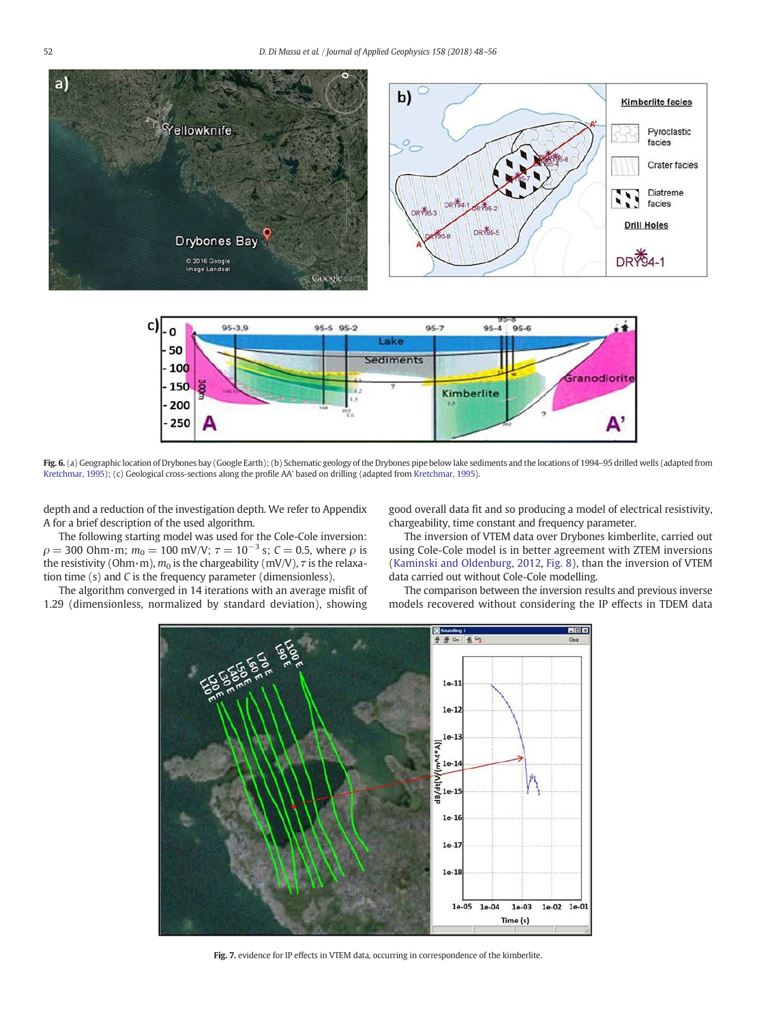<span id="page-4-0"></span>



Fig. 6. (a) Geographic location of Drybones bay (Google Earth); (b) Schematic geology of the Drybones pipe below lake sediments and the locations of 1994-95 drilled wells (adapted from [Kretchmar, 1995](#page-8-0)); (c) Geological cross-sections along the profile AA' based on drilling (adapted from [Kretchmar, 1995\)](#page-8-0).

depth and a reduction of the investigation depth. We refer to Appendix A for a brief description of the used algorithm.

The following starting model was used for the Cole-Cole inversion:  $\rho = 300$  Ohm·m;  $m_0 = 100$  mV/V;  $\tau = 10^{-3}$  s;  $C = 0.5$ , where  $\rho$  is the resistivity (Ohm·m),  $m_0$  is the chargeability (mV/V),  $\tau$  is the relaxation time (s) and C is the frequency parameter (dimensionless).

The algorithm converged in 14 iterations with an average misfit of 1.29 (dimensionless, normalized by standard deviation), showing

good overall data fit and so producing a model of electrical resistivity, chargeability, time constant and frequency parameter.

The inversion of VTEM data over Drybones kimberlite, carried out using Cole-Cole model is in better agreement with ZTEM inversions [\(Kaminski and Oldenburg, 2012,](#page-8-0) [Fig. 8\)](#page-5-0), than the inversion of VTEM data carried out without Cole-Cole modelling.

The comparison between the inversion results and previous inverse models recovered without considering the IP effects in TDEM data



Fig. 7. evidence for IP effects in VTEM data, occurring in correspondence of the kimberlite.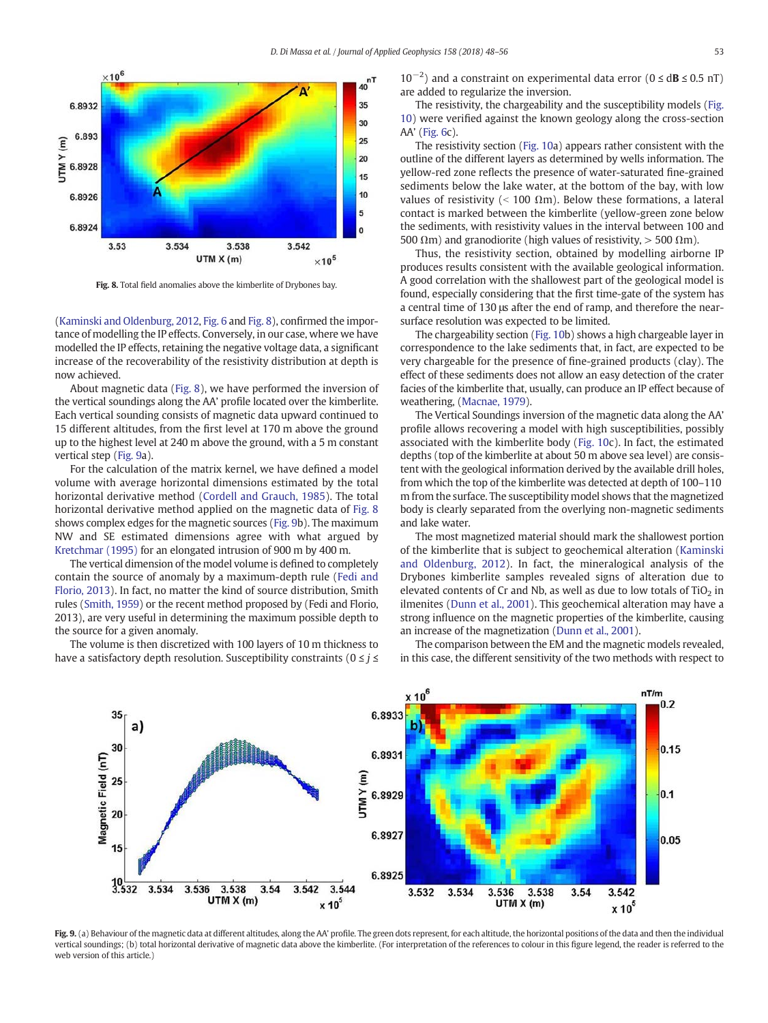<span id="page-5-0"></span>

Fig. 8. Total field anomalies above the kimberlite of Drybones bay.

[\(Kaminski and Oldenburg, 2012](#page-8-0), [Fig. 6](#page-4-0) and Fig. 8), confirmed the importance of modelling the IP effects. Conversely, in our case, where we have modelled the IP effects, retaining the negative voltage data, a significant increase of the recoverability of the resistivity distribution at depth is now achieved.

About magnetic data (Fig. 8), we have performed the inversion of the vertical soundings along the AA' profile located over the kimberlite. Each vertical sounding consists of magnetic data upward continued to 15 different altitudes, from the first level at 170 m above the ground up to the highest level at 240 m above the ground, with a 5 m constant vertical step (Fig. 9a).

For the calculation of the matrix kernel, we have defined a model volume with average horizontal dimensions estimated by the total horizontal derivative method ([Cordell and Grauch, 1985](#page-8-0)). The total horizontal derivative method applied on the magnetic data of Fig. 8 shows complex edges for the magnetic sources (Fig. 9b). The maximum NW and SE estimated dimensions agree with what argued by [Kretchmar \(1995\)](#page-8-0) for an elongated intrusion of 900 m by 400 m.

The vertical dimension of the model volume is defined to completely contain the source of anomaly by a maximum-depth rule ([Fedi and](#page-8-0) [Florio, 2013](#page-8-0)). In fact, no matter the kind of source distribution, Smith rules [\(Smith, 1959\)](#page-8-0) or the recent method proposed by (Fedi and Florio, 2013), are very useful in determining the maximum possible depth to the source for a given anomaly.

The volume is then discretized with 100 layers of 10 m thickness to have a satisfactory depth resolution. Susceptibility constraints ( $0 \le i \le$ 

10−<sup>2</sup> ) and a constraint on experimental data error (0 ≤ dB ≤ 0.5 nT) are added to regularize the inversion.

The resistivity, the chargeability and the susceptibility models [\(Fig.](#page-6-0) [10\)](#page-6-0) were verified against the known geology along the cross-section AA' [\(Fig. 6c](#page-4-0)).

The resistivity section ([Fig. 10a](#page-6-0)) appears rather consistent with the outline of the different layers as determined by wells information. The yellow-red zone reflects the presence of water-saturated fine-grained sediments below the lake water, at the bottom of the bay, with low values of resistivity ( $\le$  100  $\Omega$ m). Below these formations, a lateral contact is marked between the kimberlite (yellow-green zone below the sediments, with resistivity values in the interval between 100 and 500  $\Omega$ m) and granodiorite (high values of resistivity,  $>$  500  $\Omega$ m).

Thus, the resistivity section, obtained by modelling airborne IP produces results consistent with the available geological information. A good correlation with the shallowest part of the geological model is found, especially considering that the first time-gate of the system has a central time of 130 μs after the end of ramp, and therefore the nearsurface resolution was expected to be limited.

The chargeability section [\(Fig. 10b](#page-6-0)) shows a high chargeable layer in correspondence to the lake sediments that, in fact, are expected to be very chargeable for the presence of fine-grained products (clay). The effect of these sediments does not allow an easy detection of the crater facies of the kimberlite that, usually, can produce an IP effect because of weathering, [\(Macnae, 1979\)](#page-8-0).

The Vertical Soundings inversion of the magnetic data along the AA' profile allows recovering a model with high susceptibilities, possibly associated with the kimberlite body [\(Fig. 10](#page-6-0)c). In fact, the estimated depths (top of the kimberlite at about 50 m above sea level) are consistent with the geological information derived by the available drill holes, from which the top of the kimberlite was detected at depth of 100–110 m from the surface. The susceptibility model shows that the magnetized body is clearly separated from the overlying non-magnetic sediments and lake water.

The most magnetized material should mark the shallowest portion of the kimberlite that is subject to geochemical alteration [\(Kaminski](#page-8-0) [and Oldenburg, 2012](#page-8-0)). In fact, the mineralogical analysis of the Drybones kimberlite samples revealed signs of alteration due to elevated contents of Cr and Nb, as well as due to low totals of  $TiO<sub>2</sub>$  in ilmenites ([Dunn et al., 2001](#page-8-0)). This geochemical alteration may have a strong influence on the magnetic properties of the kimberlite, causing an increase of the magnetization ([Dunn et al., 2001](#page-8-0)).

The comparison between the EM and the magnetic models revealed, in this case, the different sensitivity of the two methods with respect to



Fig. 9. (a) Behaviour of the magnetic data at different altitudes, along the AA' profile. The green dots represent, for each altitude, the horizontal positions of the data and then the individual vertical soundings; (b) total horizontal derivative of magnetic data above the kimberlite. (For interpretation of the references to colour in this figure legend, the reader is referred to the web version of this article.)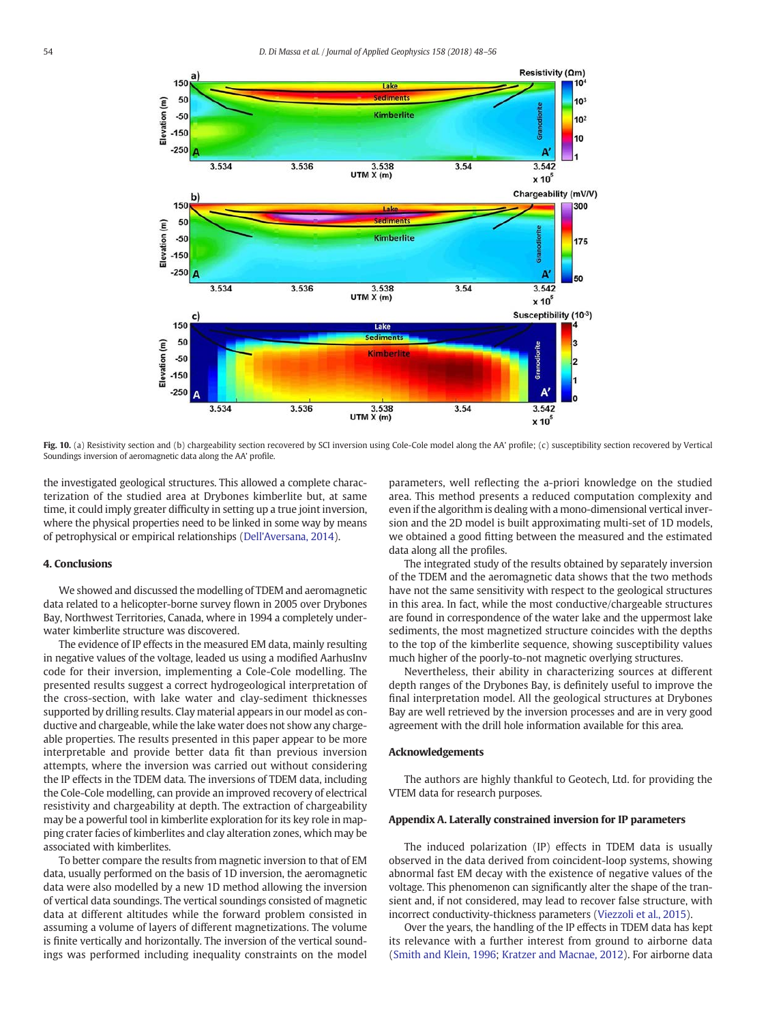<span id="page-6-0"></span>

Fig. 10. (a) Resistivity section and (b) chargeability section recovered by SCI inversion using Cole-Cole model along the AA' profile; (c) susceptibility section recovered by Vertical Soundings inversion of aeromagnetic data along the AA' profile.

the investigated geological structures. This allowed a complete characterization of the studied area at Drybones kimberlite but, at same time, it could imply greater difficulty in setting up a true joint inversion, where the physical properties need to be linked in some way by means of petrophysical or empirical relationships [\(Dell'Aversana, 2014](#page-8-0)).

## 4. Conclusions

We showed and discussed the modelling of TDEM and aeromagnetic data related to a helicopter-borne survey flown in 2005 over Drybones Bay, Northwest Territories, Canada, where in 1994 a completely underwater kimberlite structure was discovered.

The evidence of IP effects in the measured EM data, mainly resulting in negative values of the voltage, leaded us using a modified AarhusInv code for their inversion, implementing a Cole-Cole modelling. The presented results suggest a correct hydrogeological interpretation of the cross-section, with lake water and clay-sediment thicknesses supported by drilling results. Clay material appears in our model as conductive and chargeable, while the lake water does not show any chargeable properties. The results presented in this paper appear to be more interpretable and provide better data fit than previous inversion attempts, where the inversion was carried out without considering the IP effects in the TDEM data. The inversions of TDEM data, including the Cole-Cole modelling, can provide an improved recovery of electrical resistivity and chargeability at depth. The extraction of chargeability may be a powerful tool in kimberlite exploration for its key role in mapping crater facies of kimberlites and clay alteration zones, which may be associated with kimberlites.

To better compare the results from magnetic inversion to that of EM data, usually performed on the basis of 1D inversion, the aeromagnetic data were also modelled by a new 1D method allowing the inversion of vertical data soundings. The vertical soundings consisted of magnetic data at different altitudes while the forward problem consisted in assuming a volume of layers of different magnetizations. The volume is finite vertically and horizontally. The inversion of the vertical soundings was performed including inequality constraints on the model parameters, well reflecting the a-priori knowledge on the studied area. This method presents a reduced computation complexity and even if the algorithm is dealing with a mono-dimensional vertical inversion and the 2D model is built approximating multi-set of 1D models, we obtained a good fitting between the measured and the estimated data along all the profiles.

The integrated study of the results obtained by separately inversion of the TDEM and the aeromagnetic data shows that the two methods have not the same sensitivity with respect to the geological structures in this area. In fact, while the most conductive/chargeable structures are found in correspondence of the water lake and the uppermost lake sediments, the most magnetized structure coincides with the depths to the top of the kimberlite sequence, showing susceptibility values much higher of the poorly-to-not magnetic overlying structures.

Nevertheless, their ability in characterizing sources at different depth ranges of the Drybones Bay, is definitely useful to improve the final interpretation model. All the geological structures at Drybones Bay are well retrieved by the inversion processes and are in very good agreement with the drill hole information available for this area.

#### Acknowledgements

The authors are highly thankful to Geotech, Ltd. for providing the VTEM data for research purposes.

#### Appendix A. Laterally constrained inversion for IP parameters

The induced polarization (IP) effects in TDEM data is usually observed in the data derived from coincident-loop systems, showing abnormal fast EM decay with the existence of negative values of the voltage. This phenomenon can significantly alter the shape of the transient and, if not considered, may lead to recover false structure, with incorrect conductivity-thickness parameters ([Viezzoli et al., 2015](#page-8-0)).

Over the years, the handling of the IP effects in TDEM data has kept its relevance with a further interest from ground to airborne data [\(Smith and Klein, 1996;](#page-8-0) [Kratzer and Macnae, 2012](#page-8-0)). For airborne data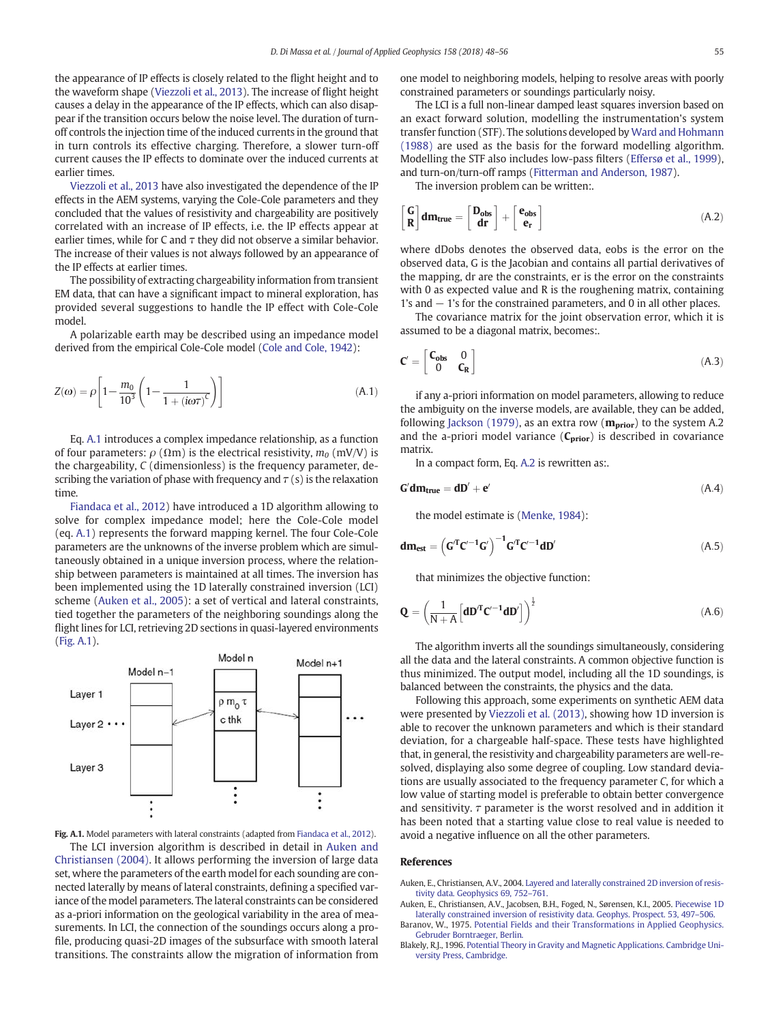<span id="page-7-0"></span>the appearance of IP effects is closely related to the flight height and to the waveform shape [\(Viezzoli et al., 2013](#page-8-0)). The increase of flight height causes a delay in the appearance of the IP effects, which can also disappear if the transition occurs below the noise level. The duration of turnoff controls the injection time of the induced currents in the ground that in turn controls its effective charging. Therefore, a slower turn-off current causes the IP effects to dominate over the induced currents at earlier times.

[Viezzoli et al., 2013](#page-8-0) have also investigated the dependence of the IP effects in the AEM systems, varying the Cole-Cole parameters and they concluded that the values of resistivity and chargeability are positively correlated with an increase of IP effects, i.e. the IP effects appear at earlier times, while for C and  $\tau$  they did not observe a similar behavior. The increase of their values is not always followed by an appearance of the IP effects at earlier times.

The possibility of extracting chargeability information from transient EM data, that can have a significant impact to mineral exploration, has provided several suggestions to handle the IP effect with Cole-Cole model.

A polarizable earth may be described using an impedance model derived from the empirical Cole-Cole model ([Cole and Cole, 1942](#page-8-0)):

$$
Z(\omega) = \rho \left[ 1 - \frac{m_0}{10^3} \left( 1 - \frac{1}{1 + (i\omega\tau)^C} \right) \right]
$$
 (A.1)

Eq. A.1 introduces a complex impedance relationship, as a function of four parameters:  $\rho(\Omega m)$  is the electrical resistivity,  $m_0$  (mV/V) is the chargeability, C (dimensionless) is the frequency parameter, describing the variation of phase with frequency and  $\tau$  (s) is the relaxation time.

[Fiandaca et al., 2012](#page-8-0)) have introduced a 1D algorithm allowing to solve for complex impedance model; here the Cole-Cole model (eq. A.1) represents the forward mapping kernel. The four Cole-Cole parameters are the unknowns of the inverse problem which are simultaneously obtained in a unique inversion process, where the relationship between parameters is maintained at all times. The inversion has been implemented using the 1D laterally constrained inversion (LCI) scheme (Auken et al., 2005): a set of vertical and lateral constraints, tied together the parameters of the neighboring soundings along the flight lines for LCI, retrieving 2D sections in quasi-layered environments (Fig. A.1).



Fig. A.1. Model parameters with lateral constraints (adapted from [Fiandaca et al., 2012](#page-8-0)). The LCI inversion algorithm is described in detail in Auken and Christiansen (2004). It allows performing the inversion of large data set, where the parameters of the earth model for each sounding are connected laterally by means of lateral constraints, defining a specified variance of the model parameters. The lateral constraints can be considered as a-priori information on the geological variability in the area of measurements. In LCI, the connection of the soundings occurs along a profile, producing quasi-2D images of the subsurface with smooth lateral transitions. The constraints allow the migration of information from one model to neighboring models, helping to resolve areas with poorly constrained parameters or soundings particularly noisy.

The LCI is a full non-linear damped least squares inversion based on an exact forward solution, modelling the instrumentation's system transfer function (STF). The solutions developed by [Ward and Hohmann](#page-8-0) [\(1988\)](#page-8-0) are used as the basis for the forward modelling algorithm. Modelling the STF also includes low-pass filters [\(Effersø et al., 1999](#page-8-0)), and turn-on/turn-off ramps [\(Fitterman and Anderson, 1987\)](#page-8-0).

The inversion problem can be written:.

$$
\begin{bmatrix} G \\ R \end{bmatrix} dm_{true} = \begin{bmatrix} D_{obs} \\ dr \end{bmatrix} + \begin{bmatrix} e_{obs} \\ e_r \end{bmatrix} \tag{A.2}
$$

where dDobs denotes the observed data, eobs is the error on the observed data, G is the Jacobian and contains all partial derivatives of the mapping, dr are the constraints, er is the error on the constraints with 0 as expected value and R is the roughening matrix, containing 1's and − 1's for the constrained parameters, and 0 in all other places.

The covariance matrix for the joint observation error, which it is assumed to be a diagonal matrix, becomes:.

$$
\mathbf{C}' = \begin{bmatrix} \mathbf{C_{obs}} & 0 \\ 0 & \mathbf{C_R} \end{bmatrix} \tag{A.3}
$$

if any a-priori information on model parameters, allowing to reduce the ambiguity on the inverse models, are available, they can be added, following [Jackson \(1979\),](#page-8-0) as an extra row ( $m_{prior}$ ) to the system A.2 and the a-priori model variance  $(C_{prior})$  is described in covariance matrix.

In a compact form, Eq. A.2 is rewritten as:.

$$
G'dm_{true} = dD' + e'
$$
 (A.4)

the model estimate is ([Menke, 1984\)](#page-8-0):

$$
\boldsymbol{d}m_{\boldsymbol{e}\boldsymbol{s}\boldsymbol{t}} = \left(\boldsymbol{G}^{\boldsymbol{T}}\boldsymbol{C}'^{-1}\boldsymbol{G}'\right)^{-1}\boldsymbol{G}^{\boldsymbol{T}}\boldsymbol{C}'^{-1}\boldsymbol{d}\boldsymbol{D}'\tag{A.5}
$$

that minimizes the objective function:

$$
\mathbf{Q} = \left(\frac{1}{N+A} \left[ \mathbf{d} \mathbf{D}^T \mathbf{C}'^{-1} \mathbf{d} \mathbf{D}' \right] \right)^{\frac{1}{2}}
$$
(A.6)

The algorithm inverts all the soundings simultaneously, considering all the data and the lateral constraints. A common objective function is thus minimized. The output model, including all the 1D soundings, is balanced between the constraints, the physics and the data.

Following this approach, some experiments on synthetic AEM data were presented by [Viezzoli et al. \(2013\),](#page-8-0) showing how 1D inversion is able to recover the unknown parameters and which is their standard deviation, for a chargeable half-space. These tests have highlighted that, in general, the resistivity and chargeability parameters are well-resolved, displaying also some degree of coupling. Low standard deviations are usually associated to the frequency parameter C, for which a low value of starting model is preferable to obtain better convergence and sensitivity.  $\tau$  parameter is the worst resolved and in addition it has been noted that a starting value close to real value is needed to avoid a negative influence on all the other parameters.

#### References

Auken, E., Christiansen, A.V., 2004. [Layered and laterally constrained 2D inversion of resis](http://refhub.elsevier.com/S0926-9851(18)30263-5/rf0005)[tivity data. Geophysics 69, 752](http://refhub.elsevier.com/S0926-9851(18)30263-5/rf0005)–761.

Auken, E., Christiansen, A.V., Jacobsen, B.H., Foged, N., Sørensen, K.I., 2005. [Piecewise 1D](http://refhub.elsevier.com/S0926-9851(18)30263-5/rf0010) [laterally constrained inversion of resistivity data. Geophys. Prospect. 53, 497](http://refhub.elsevier.com/S0926-9851(18)30263-5/rf0010)–506. Baranov, W., 1975. [Potential Fields and their Transformations in Applied Geophysics.](http://refhub.elsevier.com/S0926-9851(18)30263-5/rf0015)

[Gebruder Borntraeger, Berlin.](http://refhub.elsevier.com/S0926-9851(18)30263-5/rf0015)

Blakely, R.J., 1996. [Potential Theory in Gravity and Magnetic Applications. Cambridge Uni](http://refhub.elsevier.com/S0926-9851(18)30263-5/rf0020)[versity Press, Cambridge](http://refhub.elsevier.com/S0926-9851(18)30263-5/rf0020).